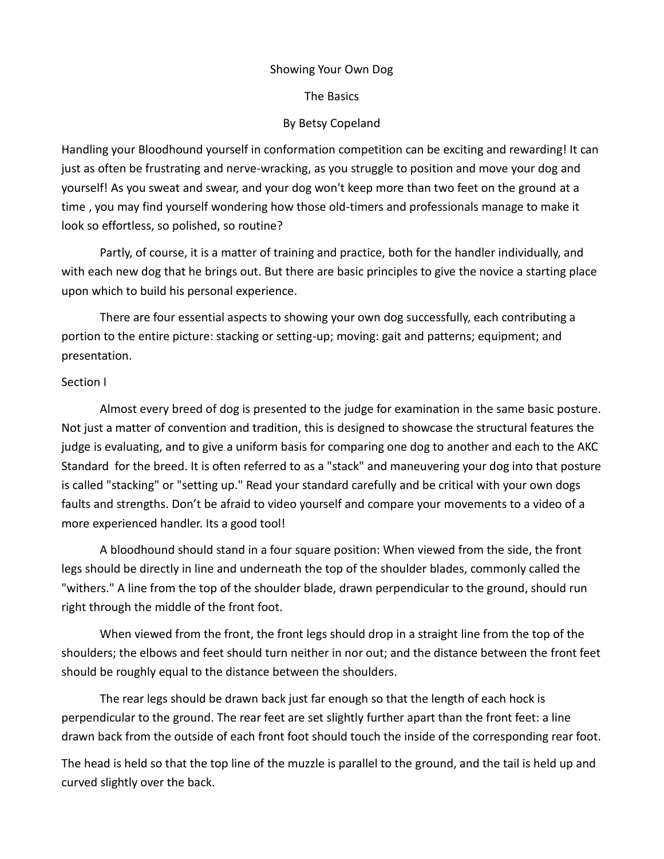#### Showing Your Own Dog

The Basics

## By Betsy Copeland

Handling your Bloodhound yourself in conformation competition can be exciting and rewarding! It can just as often be frustrating and nerve-wracking, as you struggle to position and move your dog and yourself! As you sweat and swear, and your dog won't keep more than two feet on the ground at a time , you may find yourself wondering how those old-timers and professionals manage to make it look so effortless, so polished, so routine?

Partly, of course, it is a matter of training and practice, both for the handler individually, and with each new dog that he brings out. But there are basic principles to give the novice a starting place upon which to build his personal experience.

There are four essential aspects to showing your own dog successfully, each contributing a portion to the entire picture: stacking or setting-up; moving: gait and patterns; equipment; and presentation.

### Section I

Almost every breed of dog is presented to the judge for examination in the same basic posture. Not just a matter of convention and tradition, this is designed to showcase the structural features the judge is evaluating, and to give a uniform basis for comparing one dog to another and each to the AKC Standard for the breed. It is often referred to as a "stack" and maneuvering your dog into that posture is called "stacking" or "setting up." Read your standard carefully and be critical with your own dogs faults and strengths. Don't be afraid to video yourself and compare your movements to a video of a more experienced handler. Its a good tool!

A bloodhound should stand in a four square position: When viewed from the side, the front legs should be directly in line and underneath the top of the shoulder blades, commonly called the "withers." A line from the top of the shoulder blade, drawn perpendicular to the ground, should run right through the middle of the front foot.

When viewed from the front, the front legs should drop in a straight line from the top of the shoulders; the elbows and feet should turn neither in nor out; and the distance between the front feet should be roughly equal to the distance between the shoulders.

The rear legs should be drawn back just far enough so that the length of each hock is perpendicular to the ground. The rear feet are set slightly further apart than the front feet: a line drawn back from the outside of each front foot should touch the inside of the corresponding rear foot.

The head is held so that the top line of the muzzle is parallel to the ground, and the tail is held up and curved slightly over the back.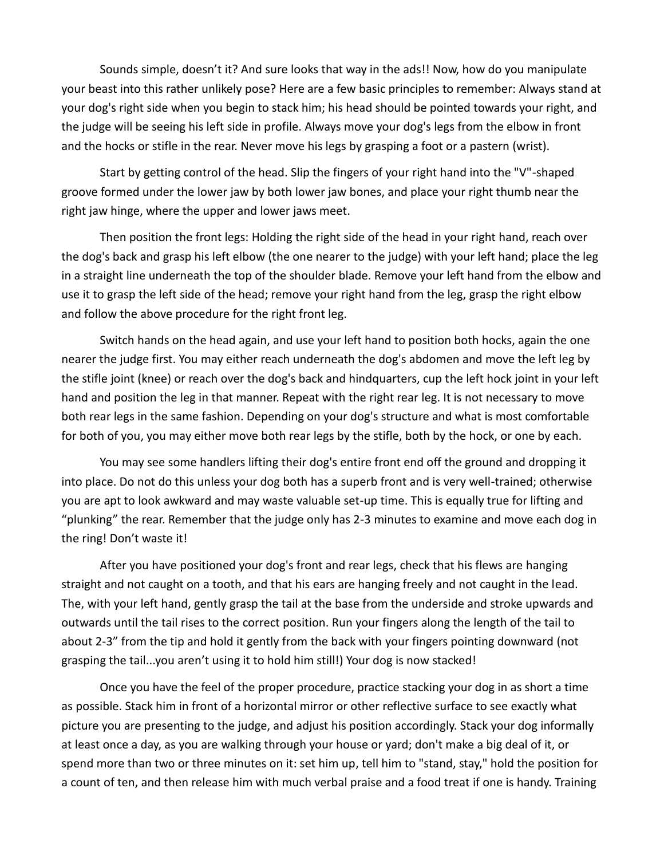Sounds simple, doesn't it? And sure looks that way in the ads!! Now, how do you manipulate your beast into this rather unlikely pose? Here are a few basic principles to remember: Always stand at your dog's right side when you begin to stack him; his head should be pointed towards your right, and the judge will be seeing his left side in profile. Always move your dog's legs from the elbow in front and the hocks or stifle in the rear. Never move his legs by grasping a foot or a pastern (wrist).

Start by getting control of the head. Slip the fingers of your right hand into the "V"-shaped groove formed under the lower jaw by both lower jaw bones, and place your right thumb near the right jaw hinge, where the upper and lower jaws meet.

Then position the front legs: Holding the right side of the head in your right hand, reach over the dog's back and grasp his left elbow (the one nearer to the judge) with your left hand; place the leg in a straight line underneath the top of the shoulder blade. Remove your left hand from the elbow and use it to grasp the left side of the head; remove your right hand from the leg, grasp the right elbow and follow the above procedure for the right front leg.

Switch hands on the head again, and use your left hand to position both hocks, again the one nearer the judge first. You may either reach underneath the dog's abdomen and move the left leg by the stifle joint (knee) or reach over the dog's back and hindquarters, cup the left hock joint in your left hand and position the leg in that manner. Repeat with the right rear leg. It is not necessary to move both rear legs in the same fashion. Depending on your dog's structure and what is most comfortable for both of you, you may either move both rear legs by the stifle, both by the hock, or one by each.

You may see some handlers lifting their dog's entire front end off the ground and dropping it into place. Do not do this unless your dog both has a superb front and is very well-trained; otherwise you are apt to look awkward and may waste valuable set-up time. This is equally true for lifting and "plunking" the rear. Remember that the judge only has 2-3 minutes to examine and move each dog in the ring! Don't waste it!

After you have positioned your dog's front and rear legs, check that his flews are hanging straight and not caught on a tooth, and that his ears are hanging freely and not caught in the lead. The, with your left hand, gently grasp the tail at the base from the underside and stroke upwards and outwards until the tail rises to the correct position. Run your fingers along the length of the tail to about 2-3" from the tip and hold it gently from the back with your fingers pointing downward (not grasping the tail...you aren't using it to hold him still!) Your dog is now stacked!

Once you have the feel of the proper procedure, practice stacking your dog in as short a time as possible. Stack him in front of a horizontal mirror or other reflective surface to see exactly what picture you are presenting to the judge, and adjust his position accordingly. Stack your dog informally at least once a day, as you are walking through your house or yard; don't make a big deal of it, or spend more than two or three minutes on it: set him up, tell him to "stand, stay," hold the position for a count of ten, and then release him with much verbal praise and a food treat if one is handy. Training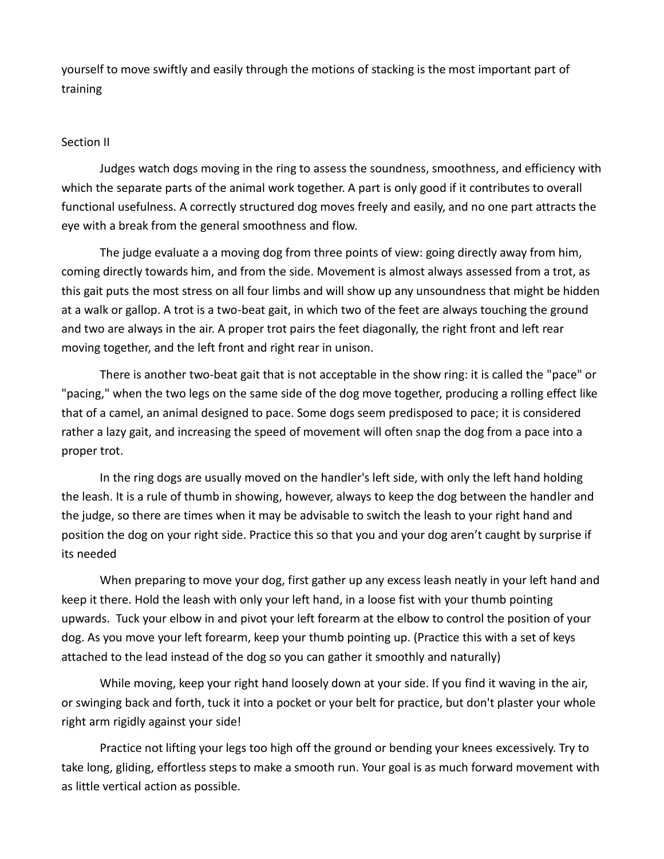yourself to move swiftly and easily through the motions of stacking is the most important part of training

## Section II

Judges watch dogs moving in the ring to assess the soundness, smoothness, and efficiency with which the separate parts of the animal work together. A part is only good if it contributes to overall functional usefulness. A correctly structured dog moves freely and easily, and no one part attracts the eye with a break from the general smoothness and flow.

The judge evaluate a a moving dog from three points of view: going directly away from him, coming directly towards him, and from the side. Movement is almost always assessed from a trot, as this gait puts the most stress on all four limbs and will show up any unsoundness that might be hidden at a walk or gallop. A trot is a two-beat gait, in which two of the feet are always touching the ground and two are always in the air. A proper trot pairs the feet diagonally, the right front and left rear moving together, and the left front and right rear in unison.

There is another two-beat gait that is not acceptable in the show ring: it is called the "pace" or "pacing," when the two legs on the same side of the dog move together, producing a rolling effect like that of a camel, an animal designed to pace. Some dogs seem predisposed to pace; it is considered rather a lazy gait, and increasing the speed of movement will often snap the dog from a pace into a proper trot.

In the ring dogs are usually moved on the handler's left side, with only the left hand holding the leash. It is a rule of thumb in showing, however, always to keep the dog between the handler and the judge, so there are times when it may be advisable to switch the leash to your right hand and position the dog on your right side. Practice this so that you and your dog aren't caught by surprise if its needed

When preparing to move your dog, first gather up any excess leash neatly in your left hand and keep it there. Hold the leash with only your left hand, in a loose fist with your thumb pointing upwards. Tuck your elbow in and pivot your left forearm at the elbow to control the position of your dog. As you move your left forearm, keep your thumb pointing up. (Practice this with a set of keys attached to the lead instead of the dog so you can gather it smoothly and naturally)

While moving, keep your right hand loosely down at your side. If you find it waving in the air, or swinging back and forth, tuck it into a pocket or your belt for practice, but don't plaster your whole right arm rigidly against your side!

Practice not lifting your legs too high off the ground or bending your knees excessively. Try to take long, gliding, effortless steps to make a smooth run. Your goal is as much forward movement with as little vertical action as possible.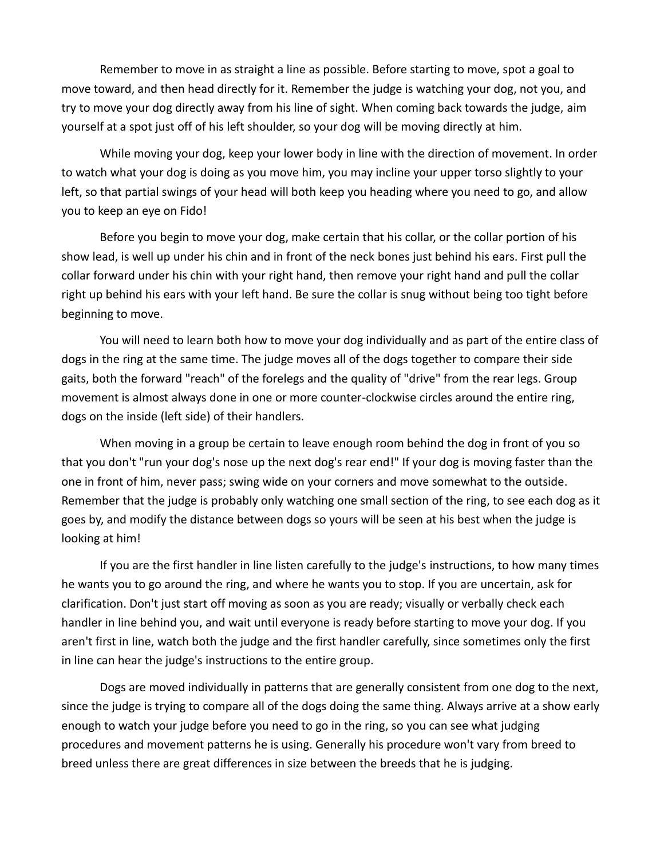Remember to move in as straight a line as possible. Before starting to move, spot a goal to move toward, and then head directly for it. Remember the judge is watching your dog, not you, and try to move your dog directly away from his line of sight. When coming back towards the judge, aim yourself at a spot just off of his left shoulder, so your dog will be moving directly at him.

While moving your dog, keep your lower body in line with the direction of movement. In order to watch what your dog is doing as you move him, you may incline your upper torso slightly to your left, so that partial swings of your head will both keep you heading where you need to go, and allow you to keep an eye on Fido!

Before you begin to move your dog, make certain that his collar, or the collar portion of his show lead, is well up under his chin and in front of the neck bones just behind his ears. First pull the collar forward under his chin with your right hand, then remove your right hand and pull the collar right up behind his ears with your left hand. Be sure the collar is snug without being too tight before beginning to move.

You will need to learn both how to move your dog individually and as part of the entire class of dogs in the ring at the same time. The judge moves all of the dogs together to compare their side gaits, both the forward "reach" of the forelegs and the quality of "drive" from the rear legs. Group movement is almost always done in one or more counter-clockwise circles around the entire ring, dogs on the inside (left side) of their handlers.

When moving in a group be certain to leave enough room behind the dog in front of you so that you don't "run your dog's nose up the next dog's rear end!" If your dog is moving faster than the one in front of him, never pass; swing wide on your corners and move somewhat to the outside. Remember that the judge is probably only watching one small section of the ring, to see each dog as it goes by, and modify the distance between dogs so yours will be seen at his best when the judge is looking at him!

If you are the first handler in line listen carefully to the judge's instructions, to how many times he wants you to go around the ring, and where he wants you to stop. If you are uncertain, ask for clarification. Don't just start off moving as soon as you are ready; visually or verbally check each handler in line behind you, and wait until everyone is ready before starting to move your dog. If you aren't first in line, watch both the judge and the first handler carefully, since sometimes only the first in line can hear the judge's instructions to the entire group.

Dogs are moved individually in patterns that are generally consistent from one dog to the next, since the judge is trying to compare all of the dogs doing the same thing. Always arrive at a show early enough to watch your judge before you need to go in the ring, so you can see what judging procedures and movement patterns he is using. Generally his procedure won't vary from breed to breed unless there are great differences in size between the breeds that he is judging.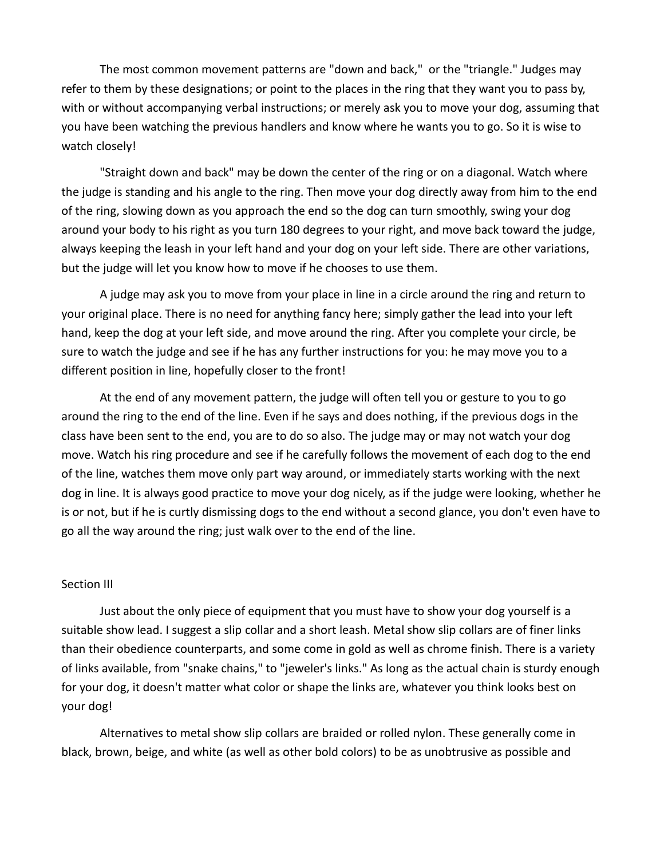The most common movement patterns are "down and back," or the "triangle." Judges may refer to them by these designations; or point to the places in the ring that they want you to pass by, with or without accompanying verbal instructions; or merely ask you to move your dog, assuming that you have been watching the previous handlers and know where he wants you to go. So it is wise to watch closely!

"Straight down and back" may be down the center of the ring or on a diagonal. Watch where the judge is standing and his angle to the ring. Then move your dog directly away from him to the end of the ring, slowing down as you approach the end so the dog can turn smoothly, swing your dog around your body to his right as you turn 180 degrees to your right, and move back toward the judge, always keeping the leash in your left hand and your dog on your left side. There are other variations, but the judge will let you know how to move if he chooses to use them.

A judge may ask you to move from your place in line in a circle around the ring and return to your original place. There is no need for anything fancy here; simply gather the lead into your left hand, keep the dog at your left side, and move around the ring. After you complete your circle, be sure to watch the judge and see if he has any further instructions for you: he may move you to a different position in line, hopefully closer to the front!

At the end of any movement pattern, the judge will often tell you or gesture to you to go around the ring to the end of the line. Even if he says and does nothing, if the previous dogs in the class have been sent to the end, you are to do so also. The judge may or may not watch your dog move. Watch his ring procedure and see if he carefully follows the movement of each dog to the end of the line, watches them move only part way around, or immediately starts working with the next dog in line. It is always good practice to move your dog nicely, as if the judge were looking, whether he is or not, but if he is curtly dismissing dogs to the end without a second glance, you don't even have to go all the way around the ring; just walk over to the end of the line.

#### Section III

Just about the only piece of equipment that you must have to show your dog yourself is a suitable show lead. I suggest a slip collar and a short leash. Metal show slip collars are of finer links than their obedience counterparts, and some come in gold as well as chrome finish. There is a variety of links available, from "snake chains," to "jeweler's links." As long as the actual chain is sturdy enough for your dog, it doesn't matter what color or shape the links are, whatever you think looks best on your dog!

Alternatives to metal show slip collars are braided or rolled nylon. These generally come in black, brown, beige, and white (as well as other bold colors) to be as unobtrusive as possible and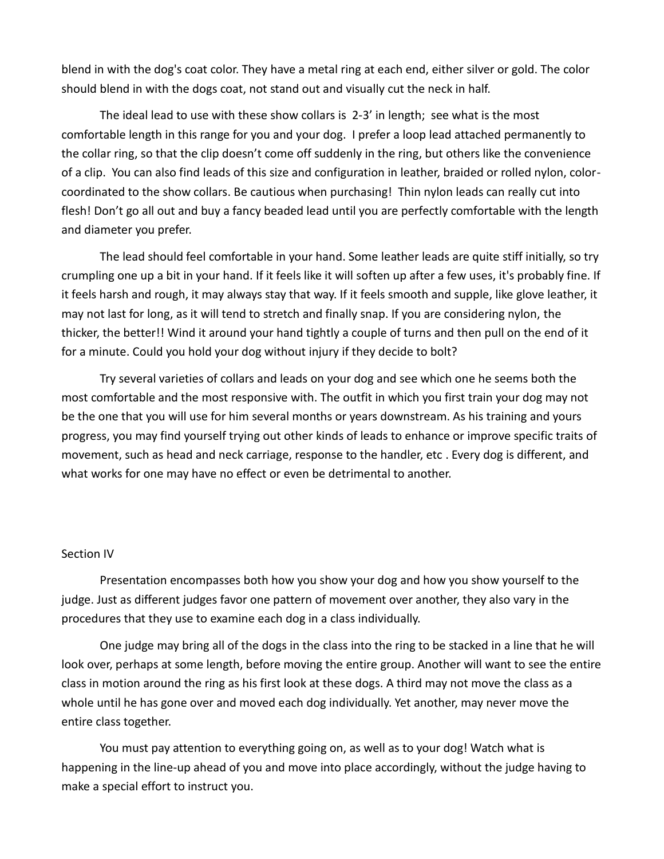blend in with the dog's coat color. They have a metal ring at each end, either silver or gold. The color should blend in with the dogs coat, not stand out and visually cut the neck in half.

The ideal lead to use with these show collars is 2-3' in length; see what is the most comfortable length in this range for you and your dog. I prefer a loop lead attached permanently to the collar ring, so that the clip doesn't come off suddenly in the ring, but others like the convenience of a clip. You can also find leads of this size and configuration in leather, braided or rolled nylon, colorcoordinated to the show collars. Be cautious when purchasing! Thin nylon leads can really cut into flesh! Don't go all out and buy a fancy beaded lead until you are perfectly comfortable with the length and diameter you prefer.

The lead should feel comfortable in your hand. Some leather leads are quite stiff initially, so try crumpling one up a bit in your hand. If it feels like it will soften up after a few uses, it's probably fine. If it feels harsh and rough, it may always stay that way. If it feels smooth and supple, like glove leather, it may not last for long, as it will tend to stretch and finally snap. If you are considering nylon, the thicker, the better!! Wind it around your hand tightly a couple of turns and then pull on the end of it for a minute. Could you hold your dog without injury if they decide to bolt?

Try several varieties of collars and leads on your dog and see which one he seems both the most comfortable and the most responsive with. The outfit in which you first train your dog may not be the one that you will use for him several months or years downstream. As his training and yours progress, you may find yourself trying out other kinds of leads to enhance or improve specific traits of movement, such as head and neck carriage, response to the handler, etc . Every dog is different, and what works for one may have no effect or even be detrimental to another.

### Section IV

Presentation encompasses both how you show your dog and how you show yourself to the judge. Just as different judges favor one pattern of movement over another, they also vary in the procedures that they use to examine each dog in a class individually.

One judge may bring all of the dogs in the class into the ring to be stacked in a line that he will look over, perhaps at some length, before moving the entire group. Another will want to see the entire class in motion around the ring as his first look at these dogs. A third may not move the class as a whole until he has gone over and moved each dog individually. Yet another, may never move the entire class together.

You must pay attention to everything going on, as well as to your dog! Watch what is happening in the line-up ahead of you and move into place accordingly, without the judge having to make a special effort to instruct you.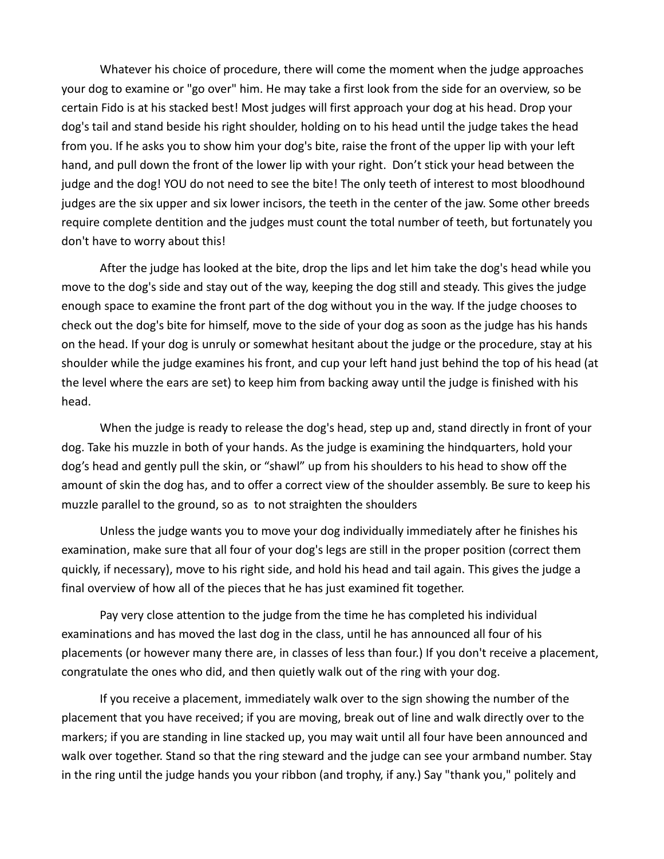Whatever his choice of procedure, there will come the moment when the judge approaches your dog to examine or "go over" him. He may take a first look from the side for an overview, so be certain Fido is at his stacked best! Most judges will first approach your dog at his head. Drop your dog's tail and stand beside his right shoulder, holding on to his head until the judge takes the head from you. If he asks you to show him your dog's bite, raise the front of the upper lip with your left hand, and pull down the front of the lower lip with your right. Don't stick your head between the judge and the dog! YOU do not need to see the bite! The only teeth of interest to most bloodhound judges are the six upper and six lower incisors, the teeth in the center of the jaw. Some other breeds require complete dentition and the judges must count the total number of teeth, but fortunately you don't have to worry about this!

After the judge has looked at the bite, drop the lips and let him take the dog's head while you move to the dog's side and stay out of the way, keeping the dog still and steady. This gives the judge enough space to examine the front part of the dog without you in the way. If the judge chooses to check out the dog's bite for himself, move to the side of your dog as soon as the judge has his hands on the head. If your dog is unruly or somewhat hesitant about the judge or the procedure, stay at his shoulder while the judge examines his front, and cup your left hand just behind the top of his head (at the level where the ears are set) to keep him from backing away until the judge is finished with his head.

When the judge is ready to release the dog's head, step up and, stand directly in front of your dog. Take his muzzle in both of your hands. As the judge is examining the hindquarters, hold your dog's head and gently pull the skin, or "shawl" up from his shoulders to his head to show off the amount of skin the dog has, and to offer a correct view of the shoulder assembly. Be sure to keep his muzzle parallel to the ground, so as to not straighten the shoulders

Unless the judge wants you to move your dog individually immediately after he finishes his examination, make sure that all four of your dog's legs are still in the proper position (correct them quickly, if necessary), move to his right side, and hold his head and tail again. This gives the judge a final overview of how all of the pieces that he has just examined fit together.

Pay very close attention to the judge from the time he has completed his individual examinations and has moved the last dog in the class, until he has announced all four of his placements (or however many there are, in classes of less than four.) If you don't receive a placement, congratulate the ones who did, and then quietly walk out of the ring with your dog.

If you receive a placement, immediately walk over to the sign showing the number of the placement that you have received; if you are moving, break out of line and walk directly over to the markers; if you are standing in line stacked up, you may wait until all four have been announced and walk over together. Stand so that the ring steward and the judge can see your armband number. Stay in the ring until the judge hands you your ribbon (and trophy, if any.) Say "thank you," politely and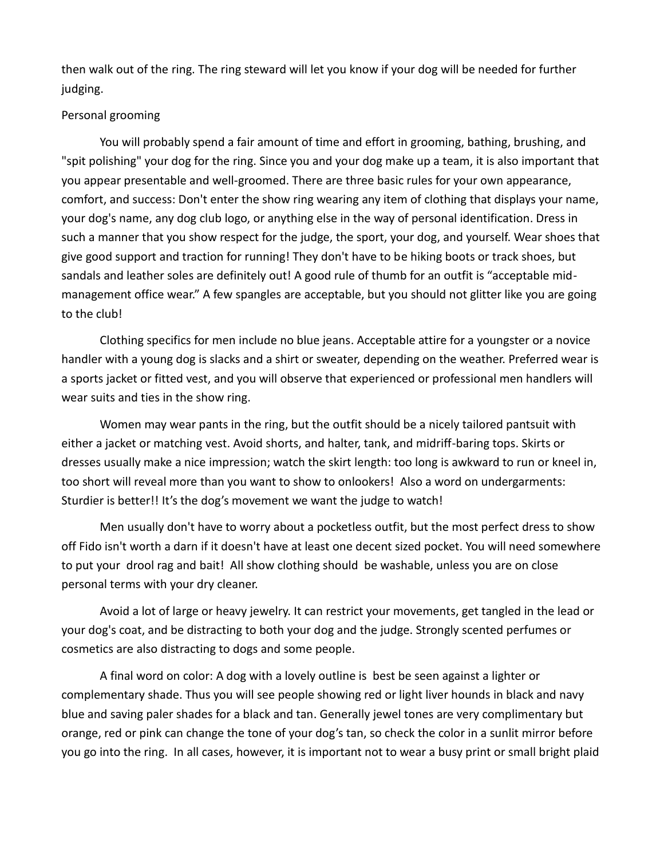then walk out of the ring. The ring steward will let you know if your dog will be needed for further judging.

# Personal grooming

You will probably spend a fair amount of time and effort in grooming, bathing, brushing, and "spit polishing" your dog for the ring. Since you and your dog make up a team, it is also important that you appear presentable and well-groomed. There are three basic rules for your own appearance, comfort, and success: Don't enter the show ring wearing any item of clothing that displays your name, your dog's name, any dog club logo, or anything else in the way of personal identification. Dress in such a manner that you show respect for the judge, the sport, your dog, and yourself. Wear shoes that give good support and traction for running! They don't have to be hiking boots or track shoes, but sandals and leather soles are definitely out! A good rule of thumb for an outfit is "acceptable midmanagement office wear." A few spangles are acceptable, but you should not glitter like you are going to the club!

Clothing specifics for men include no blue jeans. Acceptable attire for a youngster or a novice handler with a young dog is slacks and a shirt or sweater, depending on the weather. Preferred wear is a sports jacket or fitted vest, and you will observe that experienced or professional men handlers will wear suits and ties in the show ring.

Women may wear pants in the ring, but the outfit should be a nicely tailored pantsuit with either a jacket or matching vest. Avoid shorts, and halter, tank, and midriff-baring tops. Skirts or dresses usually make a nice impression; watch the skirt length: too long is awkward to run or kneel in, too short will reveal more than you want to show to onlookers! Also a word on undergarments: Sturdier is better!! It's the dog's movement we want the judge to watch!

Men usually don't have to worry about a pocketless outfit, but the most perfect dress to show off Fido isn't worth a darn if it doesn't have at least one decent sized pocket. You will need somewhere to put your drool rag and bait! All show clothing should be washable, unless you are on close personal terms with your dry cleaner.

Avoid a lot of large or heavy jewelry. It can restrict your movements, get tangled in the lead or your dog's coat, and be distracting to both your dog and the judge. Strongly scented perfumes or cosmetics are also distracting to dogs and some people.

A final word on color: A dog with a lovely outline is best be seen against a lighter or complementary shade. Thus you will see people showing red or light liver hounds in black and navy blue and saving paler shades for a black and tan. Generally jewel tones are very complimentary but orange, red or pink can change the tone of your dog's tan, so check the color in a sunlit mirror before you go into the ring. In all cases, however, it is important not to wear a busy print or small bright plaid